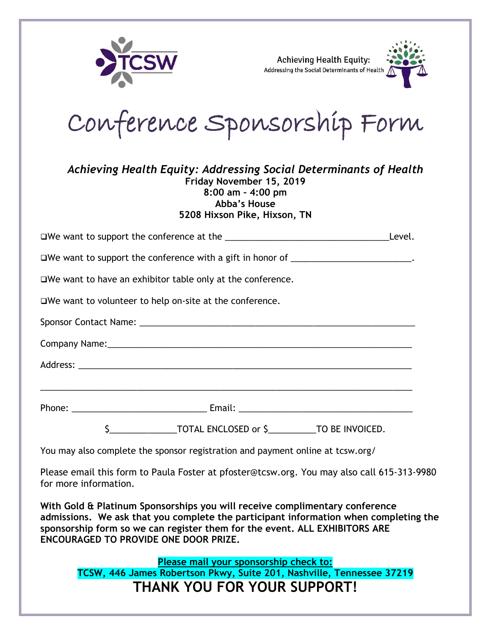

**Achieving Health Equity:** Addressing the Social Determinants of Health



Conference Sponsorship Form

| Achieving Health Equity: Addressing Social Determinants of Health |
|-------------------------------------------------------------------|
|                                                                   |
|                                                                   |
|                                                                   |
|                                                                   |
|                                                                   |

|                                                                                                                                                                                                                                | Level. |
|--------------------------------------------------------------------------------------------------------------------------------------------------------------------------------------------------------------------------------|--------|
| □We want to support the conference with a gift in honor of _______________________.                                                                                                                                            |        |
| $\square$ We want to have an exhibitor table only at the conference.                                                                                                                                                           |        |
| $\square$ We want to volunteer to help on-site at the conference.                                                                                                                                                              |        |
|                                                                                                                                                                                                                                |        |
|                                                                                                                                                                                                                                |        |
|                                                                                                                                                                                                                                |        |
|                                                                                                                                                                                                                                |        |
| Phone: Email: Email: Email: Email: Email: Email: Email: Email: Email: Email: Email: Email: Email: Email: Email: Email: Email: Email: Email: Email: Email: Email: Email: Email: Email: Email: Email: Email: Email: Email: Email |        |
|                                                                                                                                                                                                                                |        |
| You may also complete the sponsor registration and payment online at tcsw.org/                                                                                                                                                 |        |

Please email this form to Paula Foster at pfoster@tcsw.org. You may also call 615-313-9980 for more information.

**With Gold & Platinum Sponsorships you will receive complimentary conference admissions. We ask that you complete the participant information when completing the sponsorship form so we can register them for the event. ALL EXHIBITORS ARE ENCOURAGED TO PROVIDE ONE DOOR PRIZE.** 

**Please mail your sponsorship check to: TCSW, 446 James Robertson Pkwy, Suite 201, Nashville, Tennessee 37219 THANK YOU FOR YOUR SUPPORT!**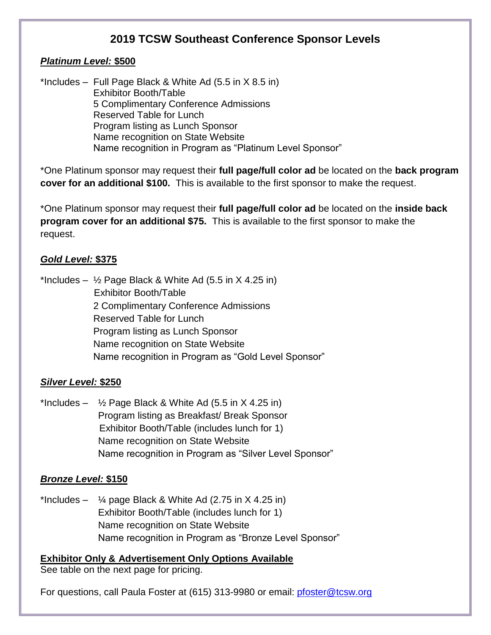# **2019 TCSW Southeast Conference Sponsor Levels**

#### *Platinum Level:* **\$500**

\*Includes – Full Page Black & White Ad (5.5 in X 8.5 in) Exhibitor Booth/Table 5 Complimentary Conference Admissions Reserved Table for Lunch Program listing as Lunch Sponsor Name recognition on State Website Name recognition in Program as "Platinum Level Sponsor"

\*One Platinum sponsor may request their **full page/full color ad** be located on the **back program cover for an additional \$100.** This is available to the first sponsor to make the request.

\*One Platinum sponsor may request their **full page/full color ad** be located on the **inside back program cover for an additional \$75.** This is available to the first sponsor to make the request.

#### *Gold Level:* **\$375**

\*Includes –  $\frac{1}{2}$  Page Black & White Ad (5.5 in X 4.25 in) Exhibitor Booth/Table 2 Complimentary Conference Admissions Reserved Table for Lunch Program listing as Lunch Sponsor Name recognition on State Website Name recognition in Program as "Gold Level Sponsor"

#### *Silver Level:* **\$250**

\*Includes –  $\frac{1}{2}$  Page Black & White Ad (5.5 in X 4.25 in) Program listing as Breakfast/ Break Sponsor Exhibitor Booth/Table (includes lunch for 1) Name recognition on State Website Name recognition in Program as "Silver Level Sponsor"

### *Bronze Level:* **\$150**

\*Includes –  $\frac{1}{4}$  page Black & White Ad (2.75 in X 4.25 in) Exhibitor Booth/Table (includes lunch for 1) Name recognition on State Website Name recognition in Program as "Bronze Level Sponsor"

**Exhibitor Only & Advertisement Only Options Available** See table on the next page for pricing.

For questions, call Paula Foster at (615) 313-9980 or email: [pfoster@tcsw.org](mailto:pfoster@tcsw.org)